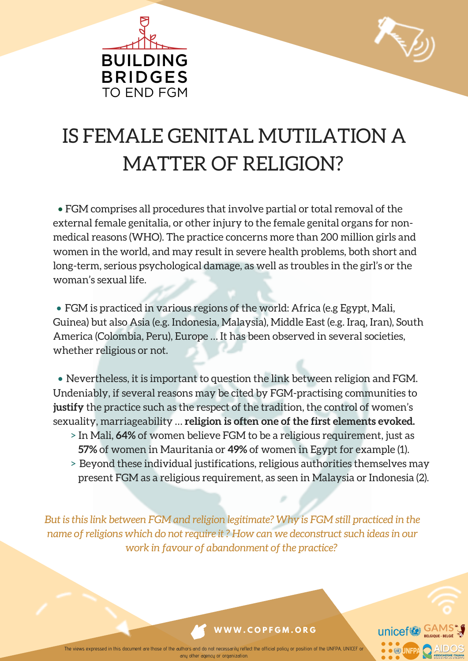



# IS FEMALE GENITAL MUTILATION A MATTER OF RELIGION?

• FGM comprises all procedures that involve partial or total removal of the external female genitalia, or other injury to the female genital organs for nonmedical reasons (WHO). The practice concerns more than 200 million girls and women in the world, and may result in severe health problems, both short and long-term, serious psychological damage, as well as troubles in the girl's or the woman's sexual life.

• FGM is practiced in various regions of the world: Africa (e.g Egypt, Mali, Guinea) but also Asia (e.g. Indonesia, Malaysia), Middle East (e.g. Iraq, Iran), South America (Colombia, Peru), Europe … It has been observed in several societies, whether religious or not.

• Nevertheless, it is important to question the link between religion and FGM. Undeniably, if several reasons may be cited by FGM-practising communities to **justify** the practice such as the respect of the tradition, the control of women's sexuality, marriageability … **religion is often one of the first elements evoked.**

- > In Mali, **64%** of women believe FGM to be a religious requirement, just as **57%** of women in Mauritania or **49%** of women in Egypt for example (1).
- > Beyond these individual justifications, religious authorities themselves may present FGM as a religious requirement, as seen in Malaysia or Indonesia (2).

*But is this link between FGM and religion legitimate? Why is FGM still practiced in the name of religions which do not require it ? How can we deconstruct such ideas in our work in favour of abandonment of the practice?*



### **W W W . C O P F G M . O R G**

The views expressed in this document are those of the authors and do not necessarily reflect the official policy or position of the UNFPA, UNICEF or any other agency or organization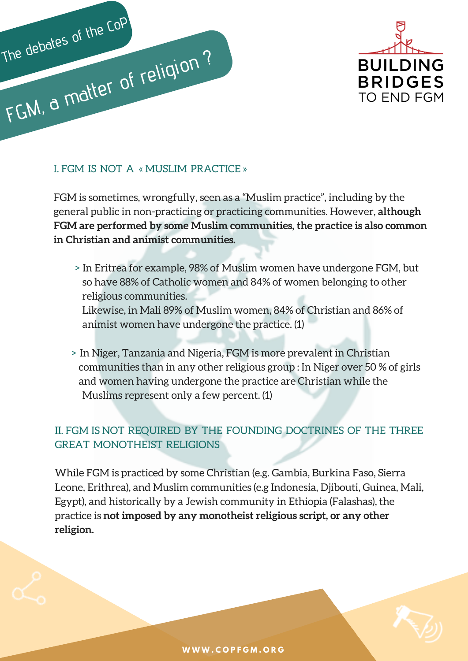



### I. FGM IS NOT A « MUSLIM PRACTICE »

FGM is sometimes, wrongfully, seen as a "Muslim practice", including by the general public in non-practicing or practicing communities. However, **although FGM are performed by some Muslim communities, the practice is also common in Christian and animist communities.**

> In Eritrea for example, 98% of Muslim women have undergone FGM, but so have 88% of Catholic women and 84% of women belonging to other religious communities.

Likewise, in Mali 89% of Muslim women, 84% of Christian and 86% of animist women have undergone the practice. (1)

> In Niger, Tanzania and Nigeria, FGM is more prevalent in Christian communities than in any other religious group : In Niger over 50 % of girls and women having undergone the practice are Christian while the Muslims represent only a few percent. (1)

### II. FGM IS NOT REQUIRED BY THE FOUNDING DOCTRINES OF THE THREE GREAT MONOTHEIST RELIGIONS

While FGM is practiced by some Christian (e.g. Gambia, Burkina Faso, Sierra Leone, Erithrea), and Muslim communities (e.g Indonesia, Djibouti, Guinea, Mali, Egypt), and historically by a Jewish community in Ethiopia (Falashas), the practice is **not imposed by any monotheist religious script, or any other religion.**

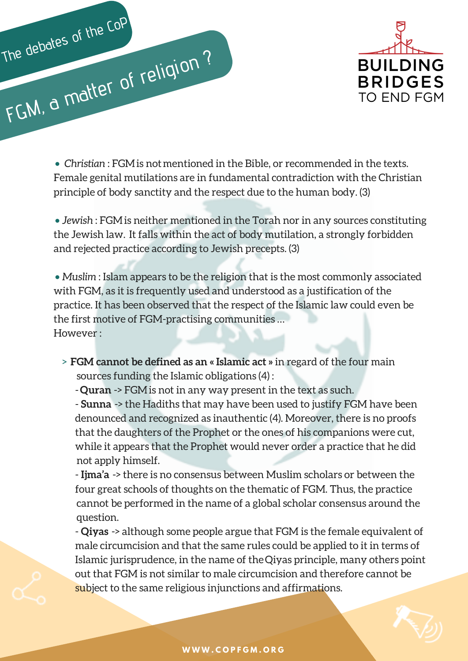



• *Christian* : FGM is not mentioned in the Bible, or recommended in the texts. Female genital mutilations are in fundamental contradiction with the Christian principle of body sanctity and the respect due to the human body. (3)

• *Jewish* : FGMis neither mentioned in the Torah nor in any sources constituting the Jewish law. It falls within the act of body mutilation, a strongly forbidden and rejected practice according to Jewish precepts. (3)

• *Muslim* : Islam appears to be the religion that is the most commonly associated with FGM, as it is frequently used and understood as a justification of the practice. It has been observed that the respect of the Islamic law could even be the first motive of FGM-practising communities … However :

- > **FGM cannot be defined as an « Islamic act »** in regard of the four main sources funding the Islamic obligations (4) :
	- -**Quran** -> FGMis not in any way present in the text as such.

- **Sunna** -> the Hadiths that may have been used to justify FGM have been denounced and recognized as inauthentic (4). Moreover, there is no proofs that the daughters of the Prophet or the ones of his companions were cut, while it appears that the Prophet would never order a practice that he did not apply himself.

- **Ijma'a** -> there is no consensus between Muslim scholars or between the four great schools of thoughts on the thematic of FGM. Thus, the practice cannot be performed in the name of a global scholar consensus around the question.

- **Qiyas** -> although some people argue that FGM is the female equivalent of male circumcision and that the same rules could be applied to it in terms of Islamic jurisprudence, in the name of theQiyas principle, many others point out that FGM is not similar to male circumcision and therefore cannot be subject to the same religious injunctions and affirmations.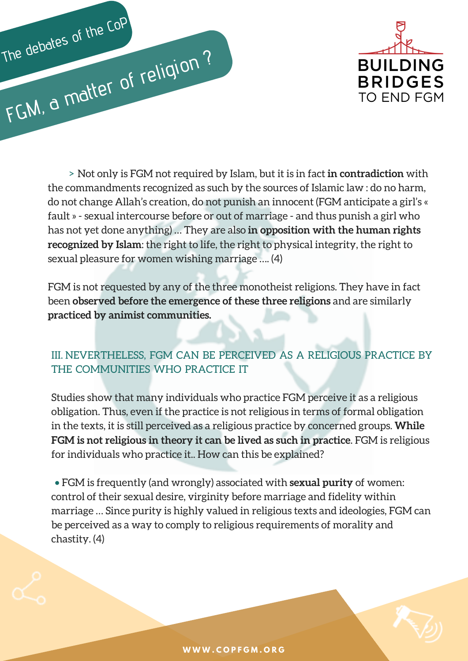



► Not only is FGM not required by Islam, but it is in fact in contradiction with the sources of Islamic law : do no harm, mandments recontation whose protes of Islamic law : do no harm, or dramage Allah's creation, do the commandments recognized as such by the sources of Islamic law : do no harm, do not change Allah's creation, do not punish an innocent (FGM anticipate a girl's « fault » - sexual intercourse before or out of marriage - and thus punish a girl who has not yet done anything) … They are also **in opposition with the human rights recognized by Islam**: the right to life, the right to physical integrity, the right to sexual pleasure for women wishing marriage …. (4)

FGM is not requested by any of the three monotheist religions. They have in fact been **observed before the emergence of these three religions** and are similarly **practiced by animist communities.**

### III. NEVERTHELESS, FGM CAN BE PERCEIVED AS A RELIGIOUS PRACTICE BY THE COMMUNITIES WHO PRACTICE IT

Studies show that many individuals who practice FGM perceive it as a religious obligation. Thus, even if the practice is not religious in terms of formal obligation in the texts, it is still perceived as a religious practice by concerned groups. **While FGM is not religious in theory it can be lived as such in practice**. FGM is religious for individuals who practice it.. How can this be explained?

• FGM is frequently (and wrongly) associated with **sexual purity** of women: control of their sexual desire, virginity before marriage and fidelity within marriage … Since purity is highly valued in religious texts and ideologies, FGM can be perceived as a way to comply to religious requirements of morality and chastity. (4)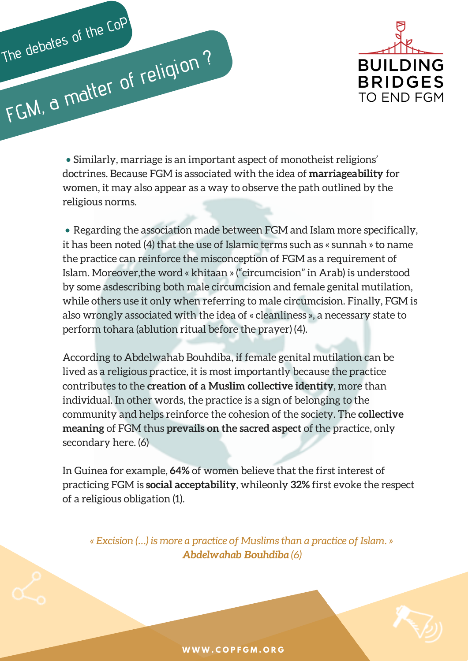



• Similarly, marriage is an important aspect of monotheist religions' doctrines. Because FGM is associated with the idea of **marriageability** for women, it may also appear as a way to observe the path outlined by the religious norms.

• Regarding the association made between FGM and Islam more specifically, it has been noted (4) that the use of Islamic terms such as « sunnah » to name the practice can reinforce the misconception of FGM as a requirement of Islam. Moreover,the word « khitaan » ("circumcision" in Arab) is understood by some asdescribing both male circumcision and female genital mutilation, while others use it only when referring to male circumcision. Finally, FGM is also wrongly associated with the idea of « cleanliness », a necessary state to perform tohara (ablution ritual before the prayer) (4).

According to Abdelwahab Bouhdiba, if female genital mutilation can be lived as a religious practice, it is most importantly because the practice contributes to the **creation of a Muslim collective identity**, more than individual. In other words, the practice is a sign of belonging to the community and helps reinforce the cohesion of the society. The **collective meaning** of FGM thus **prevails on the sacred aspect** of the practice, only secondary here. (6)

In Guinea for example, **64%** of women believe that the first interest of practicing FGM is **social acceptability**, whileonly **32%** first evoke the respect of a religious obligation (1).

*« Excision (…) is more a practice of Muslims than a practice of Islam. » Abdelwahab Bouhdiba (6)*

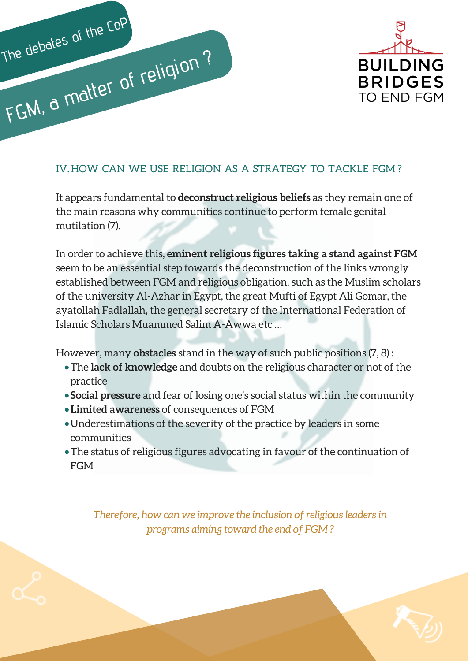



### IV.HOW CAN WE USE RELIGION AS A STRATEGY TO TACKLE FGM ?

It appears fundamental to **deconstruct religious beliefs** as they remain one of the main reasons why communities continue to perform female genital mutilation (7).

In order to achieve this, **eminent religious figures taking a stand against FGM** seem to be an essential step towards the deconstruction of the links wrongly established between FGM and religious obligation, such as the Muslim scholars of the university Al-Azhar in Egypt, the great Mufti of Egypt Ali Gomar, the ayatollah Fadlallah, the general secretary of the International Federation of Islamic Scholars Muammed Salim A-Awwa etc …

However, many **obstacles** stand in the way of such public positions (7, 8) :

- •The **lack of knowledge** and doubts on the religious character or not of the practice
- **Social pressure** and fear of losing one's social status within the community
- •**Limited awareness** of consequences of FGM
- •Underestimations of the severity of the practice by leaders in some communities
- •The status of religious figures advocating in favour of the continuation of FGM

*Therefore, how can we improve the inclusion of religious leaders in programs aiming toward the end of FGM ?*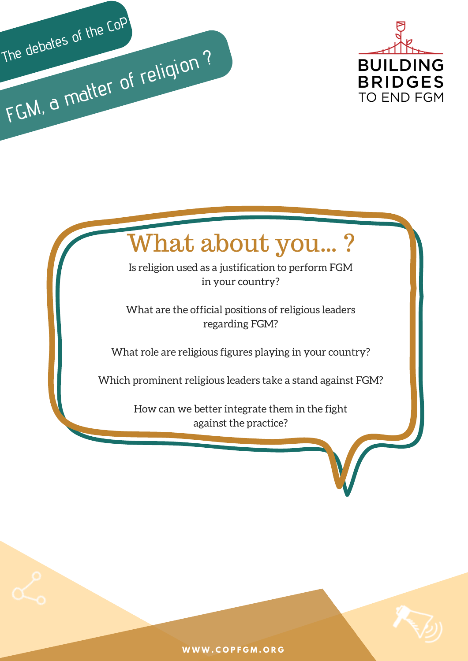



# What about you… ?

Is religion used as a justification to perform FGM in your country?

What are the official positions of religious leaders regarding FGM?

What role are religious figures playing in your country?

Which prominent religious leaders take a stand against FGM?

How can we better integrate them in the fight against the practice?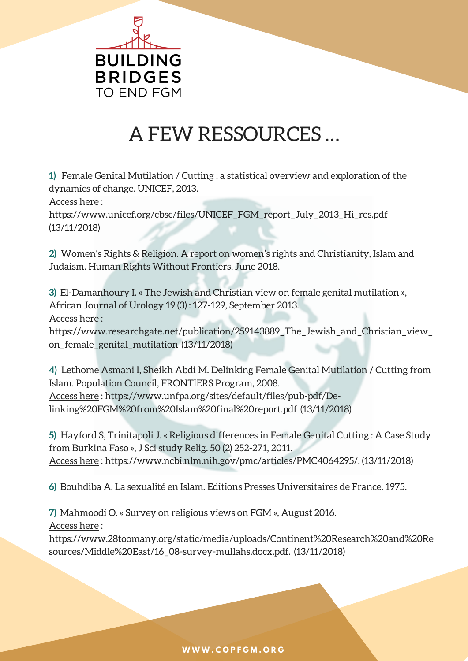

## A FEW RESSOURCES …

**1)** Female Genital Mutilation / Cutting : a statistical overview and exploration of the dynamics of change. UNICEF, 2013.

Access here :

https://www.unicef.org/cbsc/files/UNICEF\_FGM\_report\_July\_2013\_Hi\_res.pdf (13/11/2018)

**2)** Women's Rights & Religion. A report on women's rights and Christianity, Islam and Judaism. Human Rights Without Frontiers, June 2018.

**3)** El-Damanhoury I. « The Jewish and Christian view on female genital mutilation », African Journal of Urology 19 (3) : 127-129, September 2013. Access here :

https://www.researchgate.net/publication/259143889\_The\_Jewish\_and\_Christian\_view\_ on\_female\_genital\_mutilation (13/11/2018)

**4)** Lethome Asmani I, Sheikh Abdi M. Delinking Female Genital Mutilation / Cutting from Islam. Population Council, FRONTIERS Program, 2008. Access here : https://www.unfpa.org/sites/default/files/pub-pdf/Delinking%20FGM%20from%20Islam%20final%20report.pdf (13/11/2018)

**5)** Hayford S, Trinitapoli J. « Religious differences in Female Genital Cutting : A Case Study from Burkina Faso », J Sci study Relig. 50 (2) 252-271, 2011. Access here : https://www.ncbi.nlm.nih.gov/pmc/articles/PMC4064295/. (13/11/2018)

**6)** Bouhdiba A. La sexualité en Islam. Editions Presses Universitaires de France. 1975.

**7)** Mahmoodi O. « Survey on religious views on FGM », August 2016. Access here :

https://www.28toomany.org/static/media/uploads/Continent%20Research%20and%20Re sources/Middle%20East/16\_08-survey-mullahs.docx.pdf. (13/11/2018)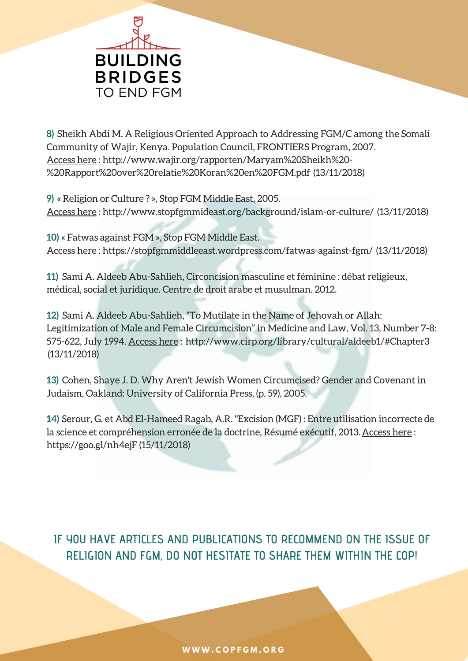

**8)** Sheikh Abdi M. A Religious Oriented Approach to Addressing FGM/C among the Somali Community of Wajir, Kenya. Population Council, FRONTIERS Program, 2007. Access here : http://www.wajir.org/rapporten/Maryam%20Sheikh%20- %20Rapport%20over%20relatie%20Koran%20en%20FGM.pdf (13/11/2018)

**9)** « Religion or Culture ? », Stop FGM Middle East, 2005. Access here : http://www.stopfgmmideast.org/background/islam-or-culture/ (13/11/2018)

**10)** « Fatwas against FGM », Stop FGM Middle East. Access here : https://stopfgmmiddleeast.wordpress.com/fatwas-against-fgm/ (13/11/2018)

**11)** Sami A. Aldeeb Abu-Sahlieh, Circoncision masculine et féminine : débat religieux, médical, social et juridique. Centre de droit arabe et musulman. 2012.

**12)** Sami A. Aldeeb Abu-Sahlieh, "To Mutilate in the Name of Jehovah or Allah: Legitimization of Male and Female Circumcision" in Medicine and Law, Vol. 13, Number 7-8: 575-622, July 1994. Access here : http://www.cirp.org/library/cultural/aldeeb1/#Chapter3 (13/11/2018)

**13)** Cohen, Shaye J. D. Why Aren't Jewish Women Circumcised? Gender and Covenant in Judaism, Oakland: University of California Press, (p. 59), 2005.

**14)** Serour, G. et Abd El-Hameed Ragab, A.R. "Excision (MGF) : Entre utilisation incorrecte de la science et compréhension erronée de la doctrine, Résumé exécutif, 2013. Access here : https://goo.gl/nh4ejF (15/11/2018)

**IF YOU HAVE ARTICLES AND PUBLICATIONS TO RECOMMEND ON THE ISSUE OF RELIGION AND FGM, DO NOT HESITATE TO SHARE THEM WITHIN THE COP!**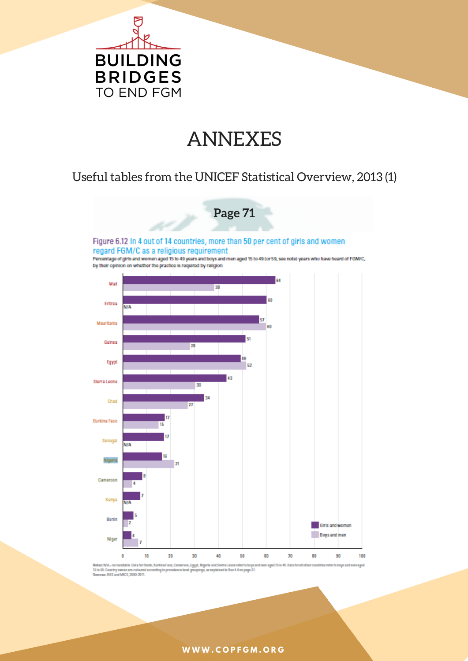

### ANNEXES

### Useful tables from the UNICEF Statistical Overview, 2013 (1)



Barkina Faxo, Cameroon, Egypt, Nigeria and Sierra Leone refer to boyca<br>rding to prevaience level groupings, as explained in Box 4.4 on page 27. Notez: N/A - not available. Data for Benin, Burking Faxe, Camer, are sond 15 to 49. Date 15 to 53. Country names are colours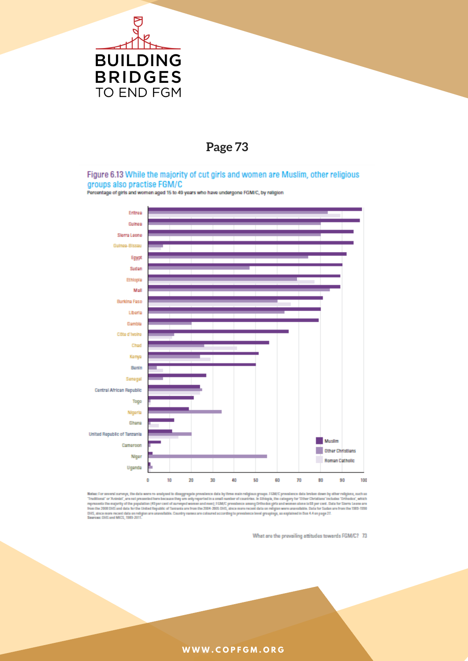

### **Page 73**

#### Figure 6.13 While the majority of cut girls and women are Muslim, other religious groups also practise FGM/C

Percentage of girls and women aged 15 to 49 years who have undergone FGM/C, by religion



Note: For averal surveys, the data were re-analyzed to disaggregate prevalence data by three main religious groups. FGM/C prevalence data brains down by other religious, such as<br>"Traditional" or "Animat", are not presented

What are the prevailing attitudes towards FGMC? 73